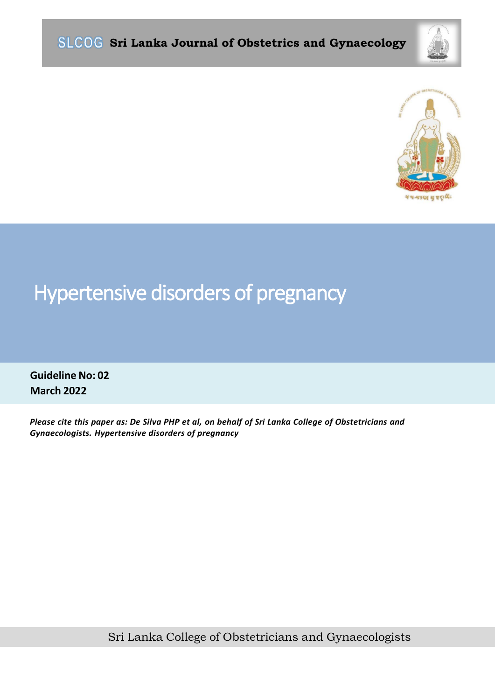



# Hypertensive disorders of pregnancy

**Guideline No: 02 March 2022**

*Please cite this paper as: De Silva PHP et al, on behalf of Sri Lanka College of Obstetricians and Gynaecologists. Hypertensive disorders of pregnancy*

Sri Lanka College of Obstetricians and Gynaecologists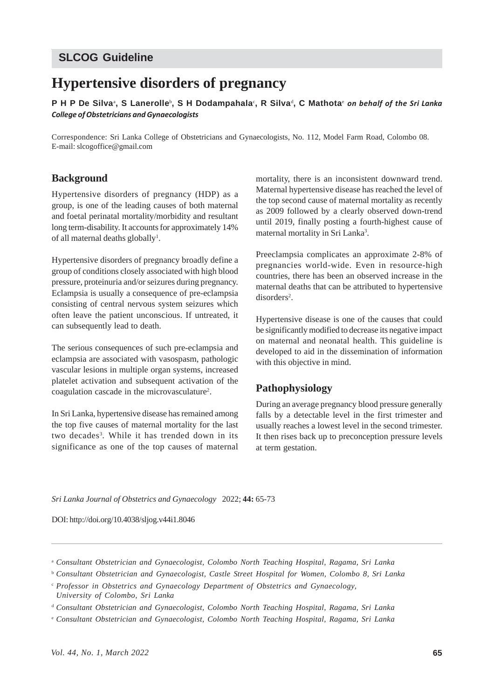## **SLCOG Guideline**

# **Hypertensive disorders of pregnancy**

**P H P De Silva**<sup>a</sup> **, S Lanerolle**<sup>b</sup> **, S H Dodampahala**<sup>c</sup> **, R Silva**<sup>d</sup> **, C Mathota**<sup>e</sup> *on behalf of the Sri Lanka College of Obstetricians and Gynaecologists*

Correspondence: Sri Lanka College of Obstetricians and Gynaecologists, No. 112, Model Farm Road, Colombo 08. E-mail: slcogoffice@gmail.com

#### **Background**

Hypertensive disorders of pregnancy (HDP) as a group, is one of the leading causes of both maternal and foetal perinatal mortality/morbidity and resultant long term-disability. It accounts for approximately 14% of all maternal deaths globally<sup>1</sup>.

Hypertensive disorders of pregnancy broadly define a group of conditions closely associated with high blood pressure, proteinuria and/or seizures during pregnancy. Eclampsia is usually a consequence of pre-eclampsia consisting of central nervous system seizures which often leave the patient unconscious. If untreated, it can subsequently lead to death.

The serious consequences of such pre-eclampsia and eclampsia are associated with vasospasm, pathologic vascular lesions in multiple organ systems, increased platelet activation and subsequent activation of the coagulation cascade in the microvasculature<sup>2</sup>.

In Sri Lanka, hypertensive disease has remained among the top five causes of maternal mortality for the last two decades<sup>3</sup>. While it has trended down in its significance as one of the top causes of maternal mortality, there is an inconsistent downward trend. Maternal hypertensive disease has reached the level of the top second cause of maternal mortality as recently as 2009 followed by a clearly observed down-trend until 2019, finally posting a fourth-highest cause of maternal mortality in Sri Lanka<sup>3</sup>.

Preeclampsia complicates an approximate 2-8% of pregnancies world-wide. Even in resource-high countries, there has been an observed increase in the maternal deaths that can be attributed to hypertensive disorders<sup>2</sup>.

Hypertensive disease is one of the causes that could be significantly modified to decrease its negative impact on maternal and neonatal health. This guideline is developed to aid in the dissemination of information with this objective in mind.

#### **Pathophysiology**

During an average pregnancy blood pressure generally falls by a detectable level in the first trimester and usually reaches a lowest level in the second trimester. It then rises back up to preconception pressure levels at term gestation.

*Sri Lanka Journal of Obstetrics and Gynaecology* 2022; **44:** 65-73

DOI: http://doi.org/10.4038/sljog.v44i1.8046

- <sup>b</sup> *Consultant Obstetrician and Gynaecologist, Castle Street Hospital for Women, Colombo 8, Sri Lanka*
- <sup>c</sup> *Professor in Obstetrics and Gynaecology Department of Obstetrics and Gynaecology, University of Colombo, Sri Lanka*

<sup>d</sup> *Consultant Obstetrician and Gynaecologist, Colombo North Teaching Hospital, Ragama, Sri Lanka*

<sup>e</sup> *Consultant Obstetrician and Gynaecologist, Colombo North Teaching Hospital, Ragama, Sri Lanka*

<sup>a</sup> *Consultant Obstetrician and Gynaecologist, Colombo North Teaching Hospital, Ragama, Sri Lanka*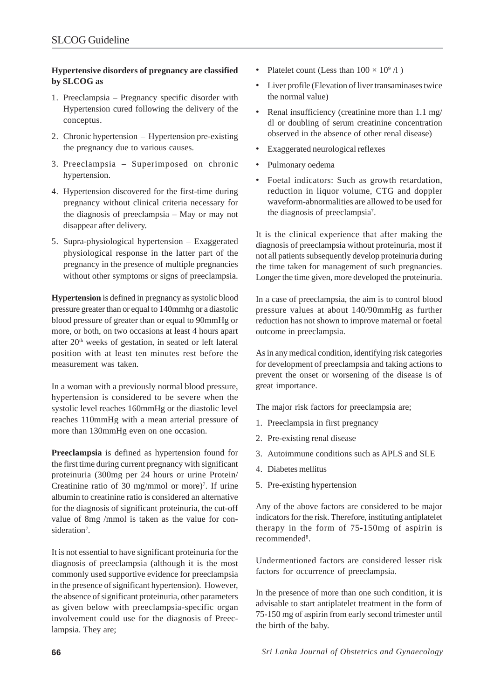#### **Hypertensive disorders of pregnancy are classified by SLCOG as**

- 1. Preeclampsia Pregnancy specific disorder with Hypertension cured following the delivery of the conceptus.
- 2. Chronic hypertension Hypertension pre-existing the pregnancy due to various causes.
- 3. Preeclampsia Superimposed on chronic hypertension.
- 4. Hypertension discovered for the first-time during pregnancy without clinical criteria necessary for the diagnosis of preeclampsia – May or may not disappear after delivery.
- 5. Supra-physiological hypertension Exaggerated physiological response in the latter part of the pregnancy in the presence of multiple pregnancies without other symptoms or signs of preeclampsia.

**Hypertension** is defined in pregnancy as systolic blood pressure greater than or equal to 140mmhg or a diastolic blood pressure of greater than or equal to 90mmHg or more, or both, on two occasions at least 4 hours apart after 20<sup>th</sup> weeks of gestation, in seated or left lateral position with at least ten minutes rest before the measurement was taken.

In a woman with a previously normal blood pressure, hypertension is considered to be severe when the systolic level reaches 160mmHg or the diastolic level reaches 110mmHg with a mean arterial pressure of more than 130mmHg even on one occasion.

**Preeclampsia** is defined as hypertension found for the first time during current pregnancy with significant proteinuria (300mg per 24 hours or urine Protein/ Creatinine ratio of 30 mg/mmol or more)<sup>7</sup>. If urine albumin to creatinine ratio is considered an alternative for the diagnosis of significant proteinuria, the cut-off value of 8mg /mmol is taken as the value for consideration<sup>7</sup>.

It is not essential to have significant proteinuria for the diagnosis of preeclampsia (although it is the most commonly used supportive evidence for preeclampsia in the presence of significant hypertension). However, the absence of significant proteinuria, other parameters as given below with preeclampsia-specific organ involvement could use for the diagnosis of Preeclampsia. They are;

- Platelet count (Less than  $100 \times 10^9 / 1$ )
- Liver profile (Elevation of liver transaminases twice the normal value)
- Renal insufficiency (creatinine more than 1.1 mg/ dl or doubling of serum creatinine concentration observed in the absence of other renal disease)
- Exaggerated neurological reflexes
- Pulmonary oedema
- Foetal indicators: Such as growth retardation, reduction in liquor volume, CTG and doppler waveform-abnormalities are allowed to be used for the diagnosis of preeclampsia7 .

It is the clinical experience that after making the diagnosis of preeclampsia without proteinuria, most if not all patients subsequently develop proteinuria during the time taken for management of such pregnancies. Longer the time given, more developed the proteinuria.

In a case of preeclampsia, the aim is to control blood pressure values at about 140/90mmHg as further reduction has not shown to improve maternal or foetal outcome in preeclampsia.

As in any medical condition, identifying risk categories for development of preeclampsia and taking actions to prevent the onset or worsening of the disease is of great importance.

The major risk factors for preeclampsia are;

- 1. Preeclampsia in first pregnancy
- 2. Pre-existing renal disease
- 3. Autoimmune conditions such as APLS and SLE
- 4. Diabetes mellitus
- 5. Pre-existing hypertension

Any of the above factors are considered to be major indicators for the risk. Therefore, instituting antiplatelet therapy in the form of 75-150mg of aspirin is recommended<sup>8</sup>.

Undermentioned factors are considered lesser risk factors for occurrence of preeclampsia.

In the presence of more than one such condition, it is advisable to start antiplatelet treatment in the form of 75-150 mg of aspirin from early second trimester until the birth of the baby.

**66** *Sri Lanka Journal of Obstetrics and Gynaecology*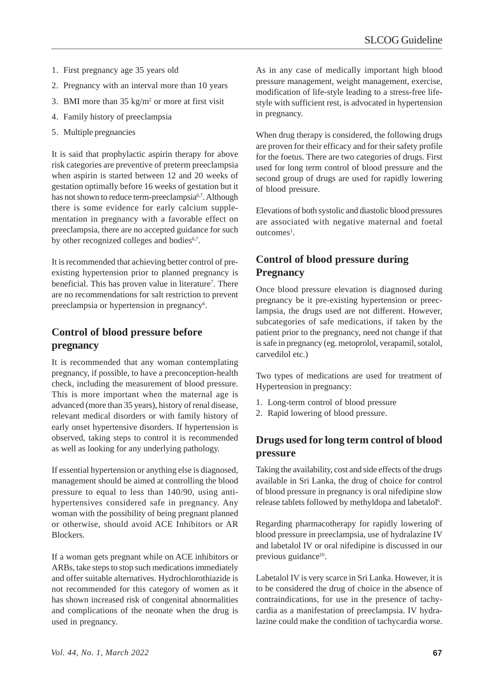- 1. First pregnancy age 35 years old
- 2. Pregnancy with an interval more than 10 years
- 3. BMI more than  $35 \text{ kg/m}^2$  or more at first visit
- 4. Family history of preeclampsia
- 5. Multiple pregnancies

It is said that prophylactic aspirin therapy for above risk categories are preventive of preterm preeclampsia when aspirin is started between 12 and 20 weeks of gestation optimally before 16 weeks of gestation but it has not shown to reduce term-preeclampsia<sup>6,7</sup>. Although there is some evidence for early calcium supplementation in pregnancy with a favorable effect on preeclampsia, there are no accepted guidance for such by other recognized colleges and bodies<sup>6,7</sup>.

It is recommended that achieving better control of preexisting hypertension prior to planned pregnancy is beneficial. This has proven value in literature<sup>7</sup>. There are no recommendations for salt restriction to prevent preeclampsia or hypertension in pregnancy<sup>6</sup>.

# **Control of blood pressure before pregnancy**

It is recommended that any woman contemplating pregnancy, if possible, to have a preconception-health check, including the measurement of blood pressure. This is more important when the maternal age is advanced (more than 35 years), history of renal disease, relevant medical disorders or with family history of early onset hypertensive disorders. If hypertension is observed, taking steps to control it is recommended as well as looking for any underlying pathology.

If essential hypertension or anything else is diagnosed, management should be aimed at controlling the blood pressure to equal to less than 140/90, using antihypertensives considered safe in pregnancy. Any woman with the possibility of being pregnant planned or otherwise, should avoid ACE Inhibitors or AR **Blockers** 

If a woman gets pregnant while on ACE inhibitors or ARBs, take steps to stop such medications immediately and offer suitable alternatives. Hydrochlorothiazide is not recommended for this category of women as it has shown increased risk of congenital abnormalities and complications of the neonate when the drug is used in pregnancy.

As in any case of medically important high blood pressure management, weight management, exercise, modification of life-style leading to a stress-free lifestyle with sufficient rest, is advocated in hypertension in pregnancy.

When drug therapy is considered, the following drugs are proven for their efficacy and for their safety profile for the foetus. There are two categories of drugs. First used for long term control of blood pressure and the second group of drugs are used for rapidly lowering of blood pressure.

Elevations of both systolic and diastolic blood pressures are associated with negative maternal and foetal outcomes<sup>1</sup>.

# **Control of blood pressure during Pregnancy**

Once blood pressure elevation is diagnosed during pregnancy be it pre-existing hypertension or preeclampsia, the drugs used are not different. However, subcategories of safe medications, if taken by the patient prior to the pregnancy, need not change if that is safe in pregnancy (eg. metoprolol, verapamil, sotalol, carvedilol etc.)

Two types of medications are used for treatment of Hypertension in pregnancy:

- 1. Long-term control of blood pressure
- 2. Rapid lowering of blood pressure.

## **Drugs used for long term control of blood pressure**

Taking the availability, cost and side effects of the drugs available in Sri Lanka, the drug of choice for control of blood pressure in pregnancy is oral nifedipine slow release tablets followed by methyldopa and labetalol<sup>6</sup>.

Regarding pharmacotherapy for rapidly lowering of blood pressure in preeclampsia, use of hydralazine IV and labetalol IV or oral nifedipine is discussed in our previous guidance<sup>10</sup>.

Labetalol IV is very scarce in Sri Lanka. However, it is to be considered the drug of choice in the absence of contraindications, for use in the presence of tachycardia as a manifestation of preeclampsia. IV hydralazine could make the condition of tachycardia worse.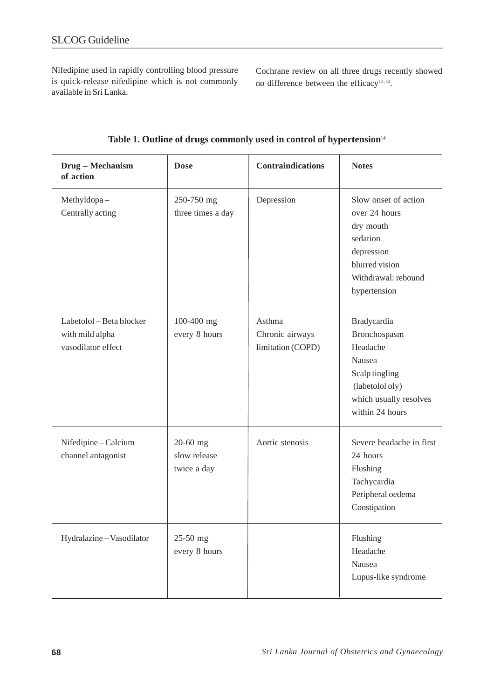Nifedipine used in rapidly controlling blood pressure is quick-release nifedipine which is not commonly available in Sri Lanka.

Cochrane review on all three drugs recently showed no difference between the efficacy<sup>12,13</sup>.

| Drug - Mechanism<br>of action                                     | <b>Dose</b>                             | <b>Contraindications</b>                       | <b>Notes</b>                                                                                                                          |
|-------------------------------------------------------------------|-----------------------------------------|------------------------------------------------|---------------------------------------------------------------------------------------------------------------------------------------|
| Methyldopa-<br>Centrally acting                                   | 250-750 mg<br>three times a day         | Depression                                     | Slow onset of action<br>over 24 hours<br>dry mouth<br>sedation<br>depression<br>blurred vision<br>Withdrawal: rebound<br>hypertension |
| Labetolol - Beta blocker<br>with mild alpha<br>vasodilator effect | 100-400 mg<br>every 8 hours             | Asthma<br>Chronic airways<br>limitation (COPD) | Bradycardia<br>Bronchospasm<br>Headache<br>Nausea<br>Scalp tingling<br>(labetolol oly)<br>which usually resolves<br>within 24 hours   |
| Nifedipine-Calcium<br>channel antagonist                          | 20-60 mg<br>slow release<br>twice a day | Aortic stenosis                                | Severe headache in first<br>24 hours<br>Flushing<br>Tachycardia<br>Peripheral oedema<br>Constipation                                  |
| Hydralazine - Vasodilator                                         | 25-50 mg<br>every 8 hours               |                                                | Flushing<br>Headache<br>Nausea<br>Lupus-like syndrome                                                                                 |

Table 1. Outline of drugs commonly used in control of hypertension<sup>14</sup>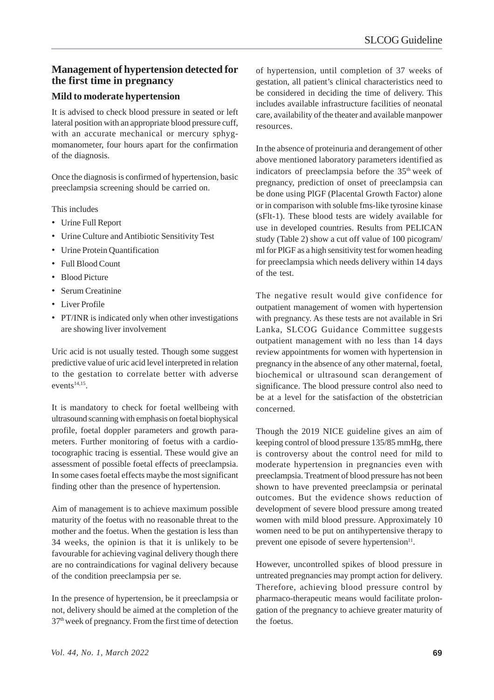#### **Management of hypertension detected for the first time in pregnancy**

#### **Mild to moderate hypertension**

It is advised to check blood pressure in seated or left lateral position with an appropriate blood pressure cuff, with an accurate mechanical or mercury sphygmomanometer, four hours apart for the confirmation of the diagnosis.

Once the diagnosis is confirmed of hypertension, basic preeclampsia screening should be carried on.

This includes

- Urine Full Report
- Urine Culture and Antibiotic Sensitivity Test
- Urine Protein Quantification
- Full Blood Count
- Blood Picture
- Serum Creatinine
- Liver Profile
- PT/INR is indicated only when other investigations are showing liver involvement

Uric acid is not usually tested. Though some suggest predictive value of uric acid level interpreted in relation to the gestation to correlate better with adverse events $14,15$ .

It is mandatory to check for foetal wellbeing with ultrasound scanning with emphasis on foetal biophysical profile, foetal doppler parameters and growth parameters. Further monitoring of foetus with a cardiotocographic tracing is essential. These would give an assessment of possible foetal effects of preeclampsia. In some cases foetal effects maybe the most significant finding other than the presence of hypertension.

Aim of management is to achieve maximum possible maturity of the foetus with no reasonable threat to the mother and the foetus. When the gestation is less than 34 weeks, the opinion is that it is unlikely to be favourable for achieving vaginal delivery though there are no contraindications for vaginal delivery because of the condition preeclampsia per se.

In the presence of hypertension, be it preeclampsia or not, delivery should be aimed at the completion of the 37th week of pregnancy. From the first time of detection

of hypertension, until completion of 37 weeks of gestation, all patient's clinical characteristics need to be considered in deciding the time of delivery. This includes available infrastructure facilities of neonatal care, availability of the theater and available manpower resources.

In the absence of proteinuria and derangement of other above mentioned laboratory parameters identified as indicators of preeclampsia before the  $35<sup>th</sup>$  week of pregnancy, prediction of onset of preeclampsia can be done using PlGF (Placental Growth Factor) alone or in comparison with soluble fms-like tyrosine kinase (sFlt-1). These blood tests are widely available for use in developed countries. Results from PELICAN study (Table 2) show a cut off value of 100 picogram/ ml for PlGF as a high sensitivity test for women heading for preeclampsia which needs delivery within 14 days of the test.

The negative result would give confidence for outpatient management of women with hypertension with pregnancy. As these tests are not available in Sri Lanka, SLCOG Guidance Committee suggests outpatient management with no less than 14 days review appointments for women with hypertension in pregnancy in the absence of any other maternal, foetal, biochemical or ultrasound scan derangement of significance. The blood pressure control also need to be at a level for the satisfaction of the obstetrician concerned.

Though the 2019 NICE guideline gives an aim of keeping control of blood pressure 135/85 mmHg, there is controversy about the control need for mild to moderate hypertension in pregnancies even with preeclampsia. Treatment of blood pressure has not been shown to have prevented preeclampsia or perinatal outcomes. But the evidence shows reduction of development of severe blood pressure among treated women with mild blood pressure. Approximately 10 women need to be put on antihypertensive therapy to prevent one episode of severe hypertension<sup>11</sup>.

However, uncontrolled spikes of blood pressure in untreated pregnancies may prompt action for delivery. Therefore, achieving blood pressure control by pharmaco-therapeutic means would facilitate prolongation of the pregnancy to achieve greater maturity of the foetus.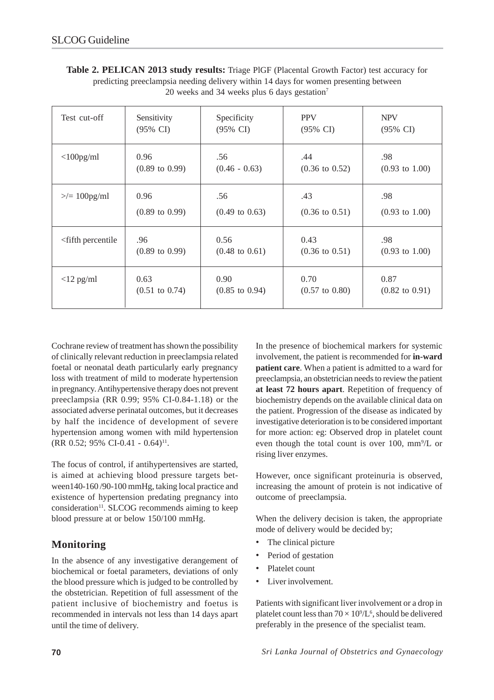|                                                                                      | Table 2. PELICAN 2013 study results: Triage PIGF (Placental Growth Factor) test accuracy for |  |  |  |
|--------------------------------------------------------------------------------------|----------------------------------------------------------------------------------------------|--|--|--|
| predicting preeclampsia needing delivery within 14 days for women presenting between |                                                                                              |  |  |  |
|                                                                                      | 20 weeks and 34 weeks plus 6 days gestation <sup>7</sup>                                     |  |  |  |

| Test cut-off                                                                           | Sensitivity               | Specificity               | <b>PPV</b>                | <b>NPV</b>                |
|----------------------------------------------------------------------------------------|---------------------------|---------------------------|---------------------------|---------------------------|
|                                                                                        | (95% CI)                  | $(95\% \text{ CI})$       | $(95\% \text{ CI})$       | $(95\% \text{ CI})$       |
| $<$ 100pg/ml                                                                           | 0.96                      | .56                       | .44                       | .98                       |
|                                                                                        | $(0.89 \text{ to } 0.99)$ | $(0.46 - 0.63)$           | $(0.36 \text{ to } 0.52)$ | $(0.93 \text{ to } 1.00)$ |
| $\geq$ = 100pg/ml                                                                      | 0.96                      | .56                       | .43                       | .98                       |
|                                                                                        | $(0.89 \text{ to } 0.99)$ | $(0.49 \text{ to } 0.63)$ | $(0.36 \text{ to } 0.51)$ | $(0.93 \text{ to } 1.00)$ |
| <fifth percentile<="" td=""><td>.96</td><td>0.56</td><td>0.43</td><td>.98</td></fifth> | .96                       | 0.56                      | 0.43                      | .98                       |
|                                                                                        | $(0.89 \text{ to } 0.99)$ | $(0.48 \text{ to } 0.61)$ | $(0.36 \text{ to } 0.51)$ | $(0.93 \text{ to } 1.00)$ |
| $<$ 12 pg/ml                                                                           | 0.63                      | 0.90                      | 0.70                      | 0.87                      |
|                                                                                        | $(0.51 \text{ to } 0.74)$ | $(0.85 \text{ to } 0.94)$ | $(0.57 \text{ to } 0.80)$ | $(0.82 \text{ to } 0.91)$ |

Cochrane review of treatment has shown the possibility of clinically relevant reduction in preeclampsia related foetal or neonatal death particularly early pregnancy loss with treatment of mild to moderate hypertension in pregnancy. Antihypertensive therapy does not prevent preeclampsia (RR 0.99; 95% CI-0.84-1.18) or the associated adverse perinatal outcomes, but it decreases by half the incidence of development of severe hypertension among women with mild hypertension  $(RR 0.52; 95\% CI-0.41 - 0.64)^{11}$ .

The focus of control, if antihypertensives are started, is aimed at achieving blood pressure targets between140-160 /90-100 mmHg, taking local practice and existence of hypertension predating pregnancy into  $consideration<sup>11</sup>$ . SLCOG recommends aiming to keep blood pressure at or below 150/100 mmHg.

## **Monitoring**

In the absence of any investigative derangement of biochemical or foetal parameters, deviations of only the blood pressure which is judged to be controlled by the obstetrician. Repetition of full assessment of the patient inclusive of biochemistry and foetus is recommended in intervals not less than 14 days apart until the time of delivery.

In the presence of biochemical markers for systemic involvement, the patient is recommended for **in-ward patient care**. When a patient is admitted to a ward for preeclampsia, an obstetrician needs to review the patient **at least 72 hours apart**. Repetition of frequency of biochemistry depends on the available clinical data on the patient. Progression of the disease as indicated by investigative deterioration is to be considered important for more action: eg: Observed drop in platelet count even though the total count is over  $100$ , mm<sup>9</sup>/L or rising liver enzymes.

However, once significant proteinuria is observed, increasing the amount of protein is not indicative of outcome of preeclampsia.

When the delivery decision is taken, the appropriate mode of delivery would be decided by;

- The clinical picture
- Period of gestation
- Platelet count
- Liver involvement.

Patients with significant liver involvement or a drop in platelet count less than  $70 \times 10^{9}/L^{6}$ , should be delivered preferably in the presence of the specialist team.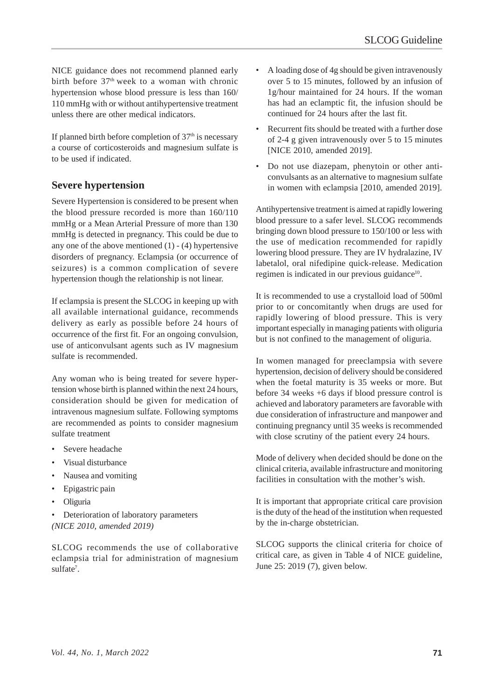NICE guidance does not recommend planned early birth before  $37<sup>th</sup>$  week to a woman with chronic hypertension whose blood pressure is less than 160/ 110 mmHg with or without antihypertensive treatment unless there are other medical indicators.

If planned birth before completion of  $37<sup>th</sup>$  is necessary a course of corticosteroids and magnesium sulfate is to be used if indicated.

#### **Severe hypertension**

Severe Hypertension is considered to be present when the blood pressure recorded is more than 160/110 mmHg or a Mean Arterial Pressure of more than 130 mmHg is detected in pregnancy. This could be due to any one of the above mentioned  $(1)$  -  $(4)$  hypertensive disorders of pregnancy. Eclampsia (or occurrence of seizures) is a common complication of severe hypertension though the relationship is not linear.

If eclampsia is present the SLCOG in keeping up with all available international guidance, recommends delivery as early as possible before 24 hours of occurrence of the first fit. For an ongoing convulsion, use of anticonvulsant agents such as IV magnesium sulfate is recommended.

Any woman who is being treated for severe hypertension whose birth is planned within the next 24 hours, consideration should be given for medication of intravenous magnesium sulfate. Following symptoms are recommended as points to consider magnesium sulfate treatment

- Severe headache
- Visual disturbance
- Nausea and vomiting
- Epigastric pain
- Oliguria
- Deterioration of laboratory parameters *(NICE 2010, amended 2019)*

SLCOG recommends the use of collaborative eclampsia trial for administration of magnesium sulfate<sup>7</sup>.

- A loading dose of 4g should be given intravenously over 5 to 15 minutes, followed by an infusion of 1g/hour maintained for 24 hours. If the woman has had an eclamptic fit, the infusion should be continued for 24 hours after the last fit.
- Recurrent fits should be treated with a further dose of 2-4 g given intravenously over 5 to 15 minutes [NICE 2010, amended 2019].
- Do not use diazepam, phenytoin or other anticonvulsants as an alternative to magnesium sulfate in women with eclampsia [2010, amended 2019].

Antihypertensive treatment is aimed at rapidly lowering blood pressure to a safer level. SLCOG recommends bringing down blood pressure to 150/100 or less with the use of medication recommended for rapidly lowering blood pressure. They are IV hydralazine, IV labetalol, oral nifedipine quick-release. Medication regimen is indicated in our previous guidance<sup>10</sup>.

It is recommended to use a crystalloid load of 500ml prior to or concomitantly when drugs are used for rapidly lowering of blood pressure. This is very important especially in managing patients with oliguria but is not confined to the management of oliguria.

In women managed for preeclampsia with severe hypertension, decision of delivery should be considered when the foetal maturity is 35 weeks or more. But before 34 weeks +6 days if blood pressure control is achieved and laboratory parameters are favorable with due consideration of infrastructure and manpower and continuing pregnancy until 35 weeks is recommended with close scrutiny of the patient every 24 hours.

Mode of delivery when decided should be done on the clinical criteria, available infrastructure and monitoring facilities in consultation with the mother's wish.

It is important that appropriate critical care provision is the duty of the head of the institution when requested by the in-charge obstetrician.

SLCOG supports the clinical criteria for choice of critical care, as given in Table 4 of NICE guideline, June 25: 2019 (7), given below.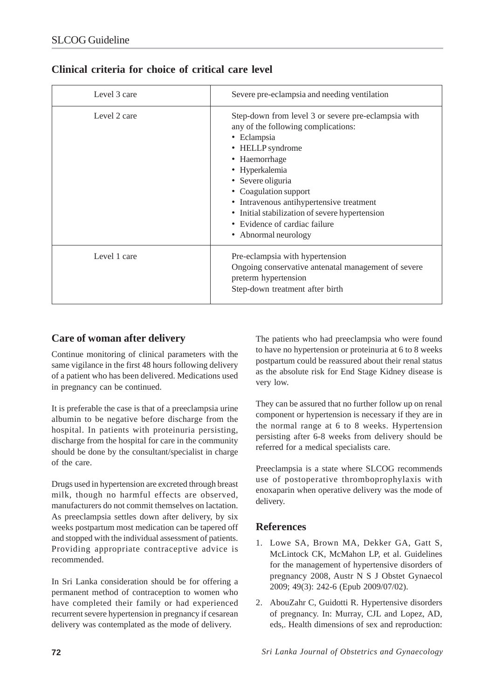| Level 3 care | Severe pre-eclampsia and needing ventilation                                                                                                                                                                                                                                                                                                                          |  |
|--------------|-----------------------------------------------------------------------------------------------------------------------------------------------------------------------------------------------------------------------------------------------------------------------------------------------------------------------------------------------------------------------|--|
| Level 2 care | Step-down from level 3 or severe pre-eclampsia with<br>any of the following complications:<br>• Eclampsia<br>• HELLP syndrome<br>• Haemorrhage<br>• Hyperkalemia<br>• Severe oliguria<br>• Coagulation support<br>• Intravenous antihypertensive treatment<br>• Initial stabilization of severe hypertension<br>• Evidence of cardiac failure<br>• Abnormal neurology |  |
| Level 1 care | Pre-eclampsia with hypertension<br>Ongoing conservative antenatal management of severe<br>preterm hypertension<br>Step-down treatment after birth                                                                                                                                                                                                                     |  |

# **Clinical criteria for choice of critical care level**

# **Care of woman after delivery**

Continue monitoring of clinical parameters with the same vigilance in the first 48 hours following delivery of a patient who has been delivered. Medications used in pregnancy can be continued.

It is preferable the case is that of a preeclampsia urine albumin to be negative before discharge from the hospital. In patients with proteinuria persisting, discharge from the hospital for care in the community should be done by the consultant/specialist in charge of the care.

Drugs used in hypertension are excreted through breast milk, though no harmful effects are observed, manufacturers do not commit themselves on lactation. As preeclampsia settles down after delivery, by six weeks postpartum most medication can be tapered off and stopped with the individual assessment of patients. Providing appropriate contraceptive advice is recommended.

In Sri Lanka consideration should be for offering a permanent method of contraception to women who have completed their family or had experienced recurrent severe hypertension in pregnancy if cesarean delivery was contemplated as the mode of delivery.

The patients who had preeclampsia who were found to have no hypertension or proteinuria at 6 to 8 weeks postpartum could be reassured about their renal status as the absolute risk for End Stage Kidney disease is very low.

They can be assured that no further follow up on renal component or hypertension is necessary if they are in the normal range at 6 to 8 weeks. Hypertension persisting after 6-8 weeks from delivery should be referred for a medical specialists care.

Preeclampsia is a state where SLCOG recommends use of postoperative thromboprophylaxis with enoxaparin when operative delivery was the mode of delivery.

#### **References**

- 1. Lowe SA, Brown MA, Dekker GA, Gatt S, McLintock CK, McMahon LP, et al. Guidelines for the management of hypertensive disorders of pregnancy 2008, Austr N S J Obstet Gynaecol 2009; 49(3): 242-6 (Epub 2009/07/02).
- 2. AbouZahr C, Guidotti R. Hypertensive disorders of pregnancy. In: Murray, CJL and Lopez, AD, eds,. Health dimensions of sex and reproduction: